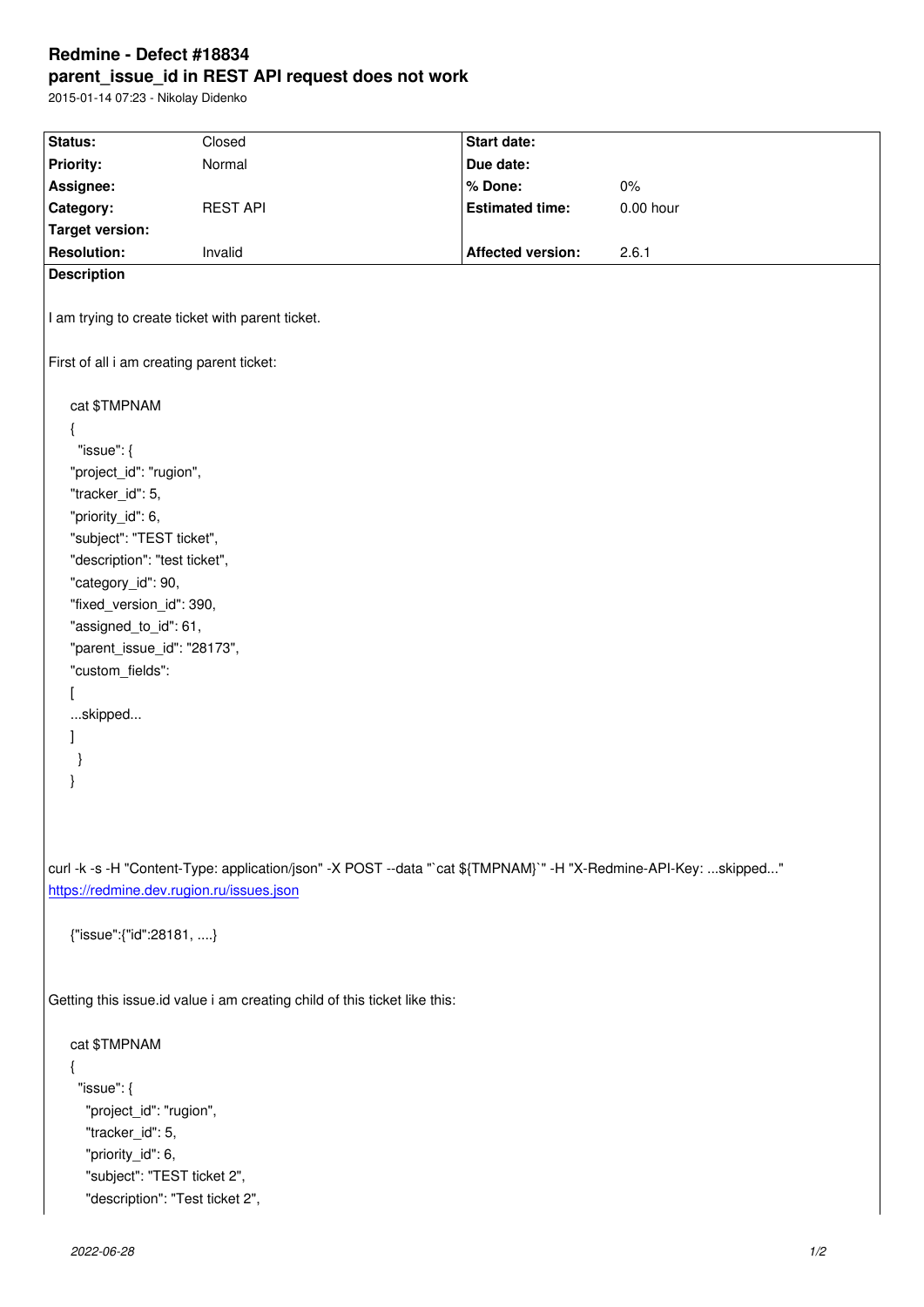## **parent\_issue\_id in REST API request does not work**

2015-01-14 07:23 - Nikolay Didenko

| Status:                                                                                                          | Closed          | <b>Start date:</b>       |             |
|------------------------------------------------------------------------------------------------------------------|-----------------|--------------------------|-------------|
| <b>Priority:</b>                                                                                                 | Normal          | Due date:                |             |
| Assignee:                                                                                                        |                 | % Done:                  | $0\%$       |
| Category:                                                                                                        | <b>REST API</b> | <b>Estimated time:</b>   | $0.00$ hour |
| <b>Target version:</b>                                                                                           |                 |                          |             |
| <b>Resolution:</b>                                                                                               | Invalid         | <b>Affected version:</b> | 2.6.1       |
| <b>Description</b>                                                                                               |                 |                          |             |
|                                                                                                                  |                 |                          |             |
| I am trying to create ticket with parent ticket.                                                                 |                 |                          |             |
| First of all i am creating parent ticket:                                                                        |                 |                          |             |
| cat \$TMPNAM                                                                                                     |                 |                          |             |
| ₹                                                                                                                |                 |                          |             |
| "issue": $\{$                                                                                                    |                 |                          |             |
|                                                                                                                  |                 |                          |             |
| "project_id": "rugion",                                                                                          |                 |                          |             |
| "tracker_id": 5,                                                                                                 |                 |                          |             |
| "priority_id": 6,                                                                                                |                 |                          |             |
| "subject": "TEST ticket",                                                                                        |                 |                          |             |
| "description": "test ticket",                                                                                    |                 |                          |             |
| "category_id": 90,                                                                                               |                 |                          |             |
| "fixed_version_id": 390,                                                                                         |                 |                          |             |
| "assigned_to_id": 61,                                                                                            |                 |                          |             |
| "parent_issue_id": "28173",                                                                                      |                 |                          |             |
| "custom_fields":                                                                                                 |                 |                          |             |
|                                                                                                                  |                 |                          |             |
| skipped                                                                                                          |                 |                          |             |
| 1                                                                                                                |                 |                          |             |
|                                                                                                                  |                 |                          |             |
|                                                                                                                  |                 |                          |             |
|                                                                                                                  |                 |                          |             |
|                                                                                                                  |                 |                          |             |
|                                                                                                                  |                 |                          |             |
|                                                                                                                  |                 |                          |             |
| curl -k -s -H "Content-Type: application/json" -X POST --data "`cat \${TMPNAM}`" -H "X-Redmine-API-Key: skipped" |                 |                          |             |
| https://redmine.dev.rugion.ru/issues.json                                                                        |                 |                          |             |
|                                                                                                                  |                 |                          |             |
| {"issue":{"id":28181, }                                                                                          |                 |                          |             |
|                                                                                                                  |                 |                          |             |
|                                                                                                                  |                 |                          |             |
| Getting this issue id value i am creating child of this ticket like this:                                        |                 |                          |             |
|                                                                                                                  |                 |                          |             |
| cat \$TMPNAM                                                                                                     |                 |                          |             |
| {                                                                                                                |                 |                          |             |
|                                                                                                                  |                 |                          |             |
| "issue": $\{$                                                                                                    |                 |                          |             |
| "project_id": "rugion",                                                                                          |                 |                          |             |
| "tracker_id": 5,                                                                                                 |                 |                          |             |
| "priority_id": 6,                                                                                                |                 |                          |             |
| "subject": "TEST ticket 2",                                                                                      |                 |                          |             |
| "description": "Test ticket 2",                                                                                  |                 |                          |             |
|                                                                                                                  |                 |                          |             |